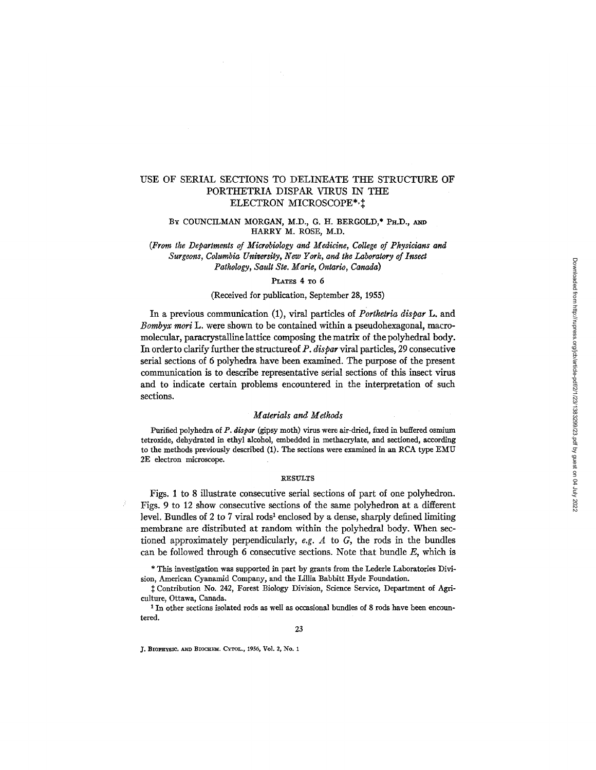### USE OF SERIAL SECTIONS TO DELINEATE THE STRUCTURE OF PORTHETRIA DISPAR VIRUS IN THE ELECTRON MICROSCOPE\*,

### BY COUNCILMAN MORGAN, *M.D.,* G. H. BERGOLD,\* PH.D., **AND**  HARRY M. ROSE, M.D.

*(From the Departments of Microbiology and Medicine, College of Physicians and Surgeons, Columbia University, New York, and the Laboratory of Insect Pathology, Sault Ste. Marie, Ontario, Canada)* 

#### **PLATES 4 TO 6**

#### (Received for publication, September 28, 1955)

In a previous communication (1), viral particles of *Porthetria dispar* L. and *Bombyx mori* L. were shown to be contained within a pseudohexagonal, macromolecular, paracrystalline lattice composing the matrix of the polyhedral body. In order to clarify further the structureof *P. dispar* viral particles, 29 consecutive serial sections of 6 polyhedra have been examined. The purpose of the present communication is to describe representative serial sections of this insect virus and to indicate certain problems encountered in the interpretation of such sections.

#### *Materials and Methods*

Purified polyhedra of *P. dispar* (gipsy moth) virus were air-dried, fixed in buffered osmium tetroxide, dehydrated in ethyl alcohol, embedded in methacrylate, and sectioned, according to the methods previously described (1). The sections were examined in an RCA type EMU 2E electron microscope.

#### **RESULTS**

Figs. 1 to 8 illustrate consecutive serial sections of part of one polyhedron. Figs. 9 to 12 show consecutive sections of the same polyhedron at a different level. Bundles of 2 to 7 viral rods<sup>1</sup> enclosed by a dense, sharply defined limiting membrane are distributed at random within the polyhedral body. When sectioned approximately perpendicularly, e.g. A to G, the rods in the bundles can be followed through 6 consecutive sections. Note that bundle *E,* which is

\* This investigation was supported in part by grants from the Lederle Laboratories Division, American Cyanamid Company, and the Lillia Babbitt Hyde Foundation.

Contribution No. 242, Forest Biology Division, Science Service, Department of Agriculture, Ottawa, Canada.

<sup>1</sup> In other sections isolated rods as well as occasional bundles of 8 rods have been encountered.

J. BIOPHYSIC. AND BIOCHEM. CYTOL., 1956, Vol. 2, No. 1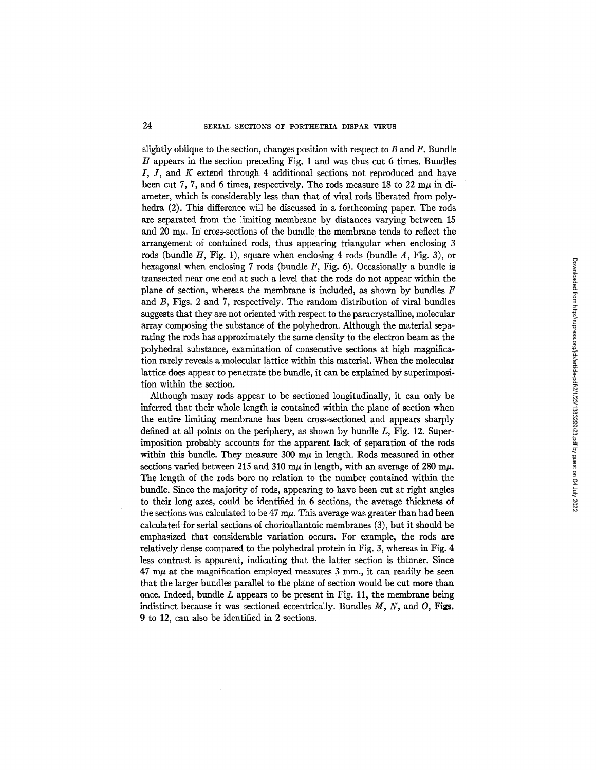### 24 SERIAL SECTIONS OF PORTHETRIA DISPAR VIRUS

slightly oblique to the section, changes position with respect to  $B$  and  $F$ . Bundle  $H$  appears in the section preceding Fig. 1 and was thus cut 6 times. Bundles *I, J,* and *K* extend through 4 additional sections not reproduced and have been cut 7, 7, and 6 times, respectively. The rods measure 18 to 22 m $\mu$  in diameter, which is considerably less than that of viral rods liberated from polyhedra (2). This difference will be discussed in a forthcoming paper. The rods are separated from the limiting membrane by distances varying between 15 and  $20 \text{ m}\mu$ . In cross-sections of the bundle the membrane tends to reflect the arrangement of contained rods, thus appearing triangular when enclosing 3 rods (bundle  $H$ , Fig. 1), square when enclosing 4 rods (bundle  $A$ , Fig. 3), or hexagonal when enclosing 7 rods (bundle *F,* Fig. 6). Occasionally a bundle is transected near one end at such a level that the rods do not appear within the plane of section, whereas the membrane is included, as shown by bundles  $F$ and B, Figs. 2 and 7, respectively. The random distribution of viral bundles suggests that they are not oriented with respect to the paracrystalline, molecular array composing the substance of the polyhedron. Although the material separating the rods has approximately the same density to the electron beam as the polyhedral substance, examination of consecutive sections at high magnification rarely reveals a molecular lattice within this material. When the molecular lattice does appear to penetrate the bundle, it can be explained by superimposition within the section.

Although many rods appear to be sectioned longitudinally, it can only be inferred that their whole length is contained within the plane of section when the entire limiting membrane has been cross-sectioned and appears sharply defined at all points on the periphery, as shown by bundle *L,* Fig. 12. Superimposition probably accounts for the apparent lack of separation of the rods within this bundle. They measure  $300 \text{ m}\mu$  in length. Rods measured in other sections varied between 215 and 310 m $\mu$  in length, with an average of 280 m $\mu$ . The length of the rods bore no relation to the number contained within the bundle. Since the majority of rods, appearing to have been cut at right angles to their long axes, could be identified in 6 sections, the average thickness of the sections was calculated to be  $47 \text{ m}\mu$ . This average was greater than had been calculated for serial sections of chorioallantoic membranes (3), but it should be emphasized that considerable variation occurs. For example, the rods are relatively dense compared to the polyhedral protein in Fig. 3, whereas in Fig. 4 less contrast is apparent, indicating that the latter section is thinner. Since  $47 \text{ m}\mu$  at the magnification employed measures 3 mm., it can readily be seen that the larger bundles parallel to the plane of section would be cut more than once. Indeed, bundle  $L$  appears to be present in Fig. 11, the membrane being indistinct because it was sectioned eccentrically. Bundles  $M$ ,  $N$ , and  $O$ , Figs. 9 to 12, can also be identified in 2 sections.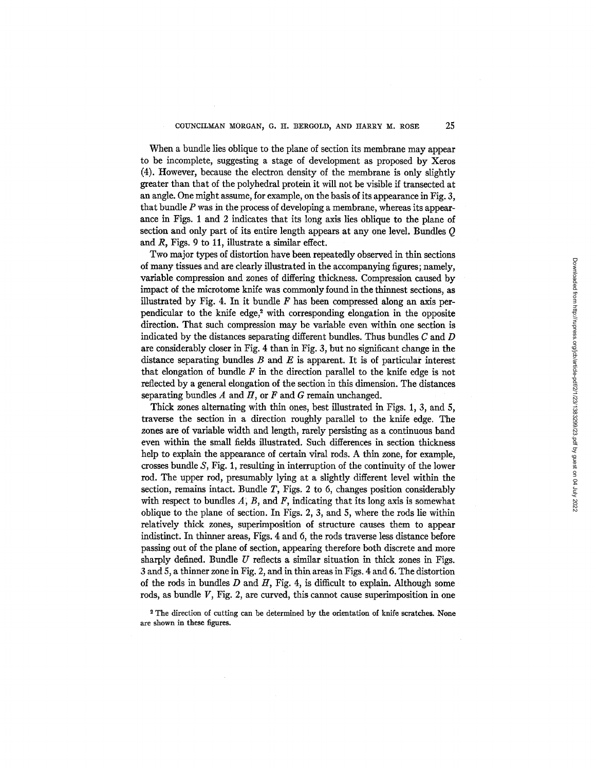When a bundle lies oblique to the plane of section its membrane may appear to be incomplete, suggesting a stage of development as proposed by Xeros (4). However, because the electron density of the membrane is only slightly greater than that of the polyhedral protein it will not be visible if transected at an angle. One might assume, for example, on the basis of its appearance in Fig. 3, that bundle  $P$  was in the process of developing a membrane, whereas its appearance in Figs. 1 and 2 indicates that its long axis lies oblique to the plane of section and only part of its entire length appears at any one level. Bundles Q and  $R$ , Figs. 9 to 11, illustrate a similar effect.

Two major types of distortion have been repeatedly observed in thin sections of many tissues and are clearly illustrated in the accompanying figures; namely, variable compression and zones of differing thickness. Compression caused by impact of the microtome knife was commonly found in the thinnest sections, as illustrated by Fig. 4. In it bundle  $F$  has been compressed along an axis perpendicular to the knife edge, $2$  with corresponding elongation in the opposite direction. That such compression may be variable even within one section is indicated by the distances separating different bundles. Thus bundles  $C$  and  $D$ are considerably closer in Fig. 4 than in Fig. 3, but no significant change in the distance separating bundles  $B$  and  $E$  is apparent. It is of particular interest that elongation of bundle  $F$  in the direction parallel to the knife edge is not reflected by a general elongation of the section in this dimension. The distances separating bundles  $A$  and  $H$ , or  $F$  and  $G$  remain unchanged.

Thick zones alternating with thin ones, best illustrated in Figs. 1, 3, and 5, traverse the section in a direction roughly parallel to the knife edge. The zones are of variable width and length, rarely persisting as a continuous band even within the small fields illustrated. Such differences in section thickness help to explain the appearance of certain viral rods. A thin zone, for example, crosses bundle S, Fig. 1, resulting in interruption of the continuity of the lower rod. The upper rod, presumably lying at a slightly different level within the section, remains intact. Bundle  $T$ , Figs. 2 to 6, changes position considerably with respect to bundles  $A$ ,  $B$ , and  $F$ , indicating that its long axis is somewhat oblique to the plane of section. In Figs. 2, 3, and 5, where the rods lie within relatively thick zones, superimposition of structure causes them to appear indistinct, In thinner areas, Figs. 4 and 6, the rods traverse less distance before passing out of the plane of section, appearing therefore both discrete and more sharply defined. Bundle  $U$  reflects a similar situation in thick zones in Figs. 3 and 5, a thinner zone in Fig. 2, and in thin areas in Figs. 4 and 6. The distortion of the rods in bundles  $D$  and  $H$ , Fig. 4, is difficult to explain. Although some rods, as bundle V, Fig. 2, are curved, this cannot cause superimposition in one

2 The direction of cutting can be determined by the orientation of knife scratches. None are shown in these figures.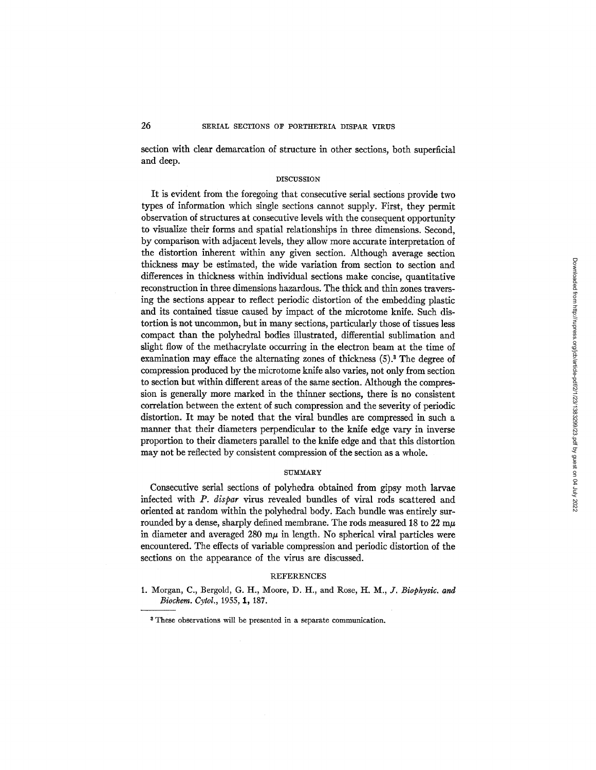section with clear demarcation of structure in other sections, both superficial and deep.

#### DISCUSSION

It is evident from the foregoing that consecutive serial sections provide two types of information which single sections cannot supply. First, they permit observation of structures at consecutive levels with the consequent opportunity to visualize their forms and spatial relationships in three dimensions. Second, by comparison with adjacent levels, they allow more accurate interpretation of the distortion inherent within any given section. Although average section thickness may be estimated, the wide variation from section to section and differences in thickness within individual sections make concise, quantitative reconstruction in three dimensions hazardous. The thick and thin zones traversing the sections appear to reflect periodic distortion of the embedding plastic and its contained tissue caused by impact of the microtome knife. Such distortion is not uncommon, but in many sections, particularly those of tissues less compact than the polyhedral bodies illustrated, differential sublimation and slight flow of the methacrylate occurring in the electron beam at the time of examination may efface the alternating zones of thickness (5).<sup>3</sup> The degree of compression produced by the microtome knife also varies, not only from section to section but within different areas of the same section. Although the compression is generally more marked in the thinner sections, there is no consistent correlation between the extent of such compression and the severity of periodic distortion. It may be noted that the viral bundles are compressed in such a manner that their diameters perpendicular to the knife edge vary in inverse proportion to their diameters parallel to the knife edge and that this distortion may not be reflected by consistent compression of the section as a whole.

#### SUMMARY

Consecutive serial sections of polyhedra obtained from gipsy moth larvae infected with *P. dispar* virus revealed bundles of viral rods scattered and oriented at random within the polyhedral body. Each bundle was entirely surrounded by a dense, sharply defined membrane. The rods measured 18 to 22  $m\mu$ in diameter and averaged 280  $m\mu$  in length. No spherical viral particles were encountered. The effects of variable compression and periodic distortion of the sections on the appearance of the virus are discussed.

#### **REFERENCES**

1. Morgan, C., Bergold, G. H., Moore, D. H., and Rose, *H. M., J. Biophysic. and Biockem. Cytol.,* 1955, 1, 187.

Downloaded from http://rupress.org/jcb/article-pdf/2/1/23/1383299/23.pdf by guest on 04 July 2022 Downloaded from http://rupress.org/jcb/article-pdf/2/1/23/1383299/23.pdf by guest on 04 July 2022

<sup>8</sup> These observations will be presented in a separate communication.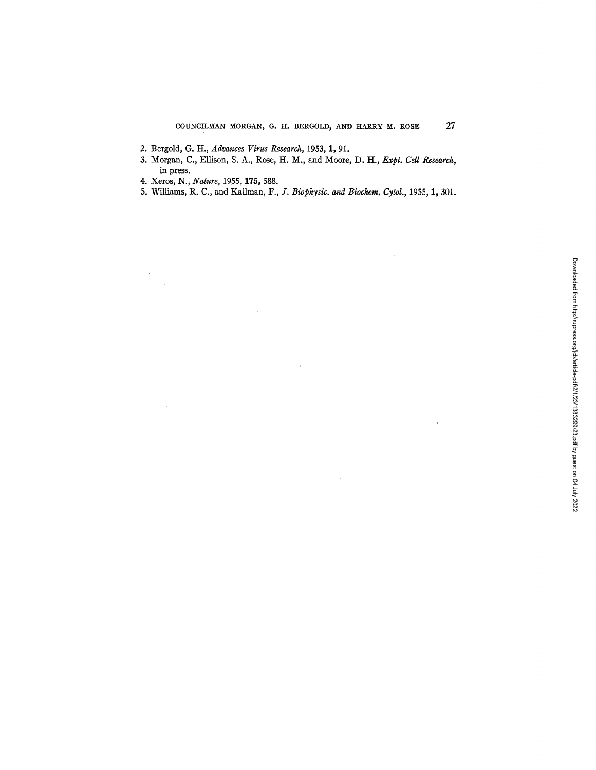- 2. Bergold, G. H., *Advances Virus Research*, 1953, 1, 91.
- 3. Morgan, C., Ellison, S. A., Rose, H. M., and Moore, D. H., *Expt. Cell Research*, in press.
- 4. Xeros, N., *Nature,* 1955, 175, 588.
- 5. Williams, R. C., and Kallman, *F., J. Biophysic. and Biochem. Cytol.*, 1955, 1, 301.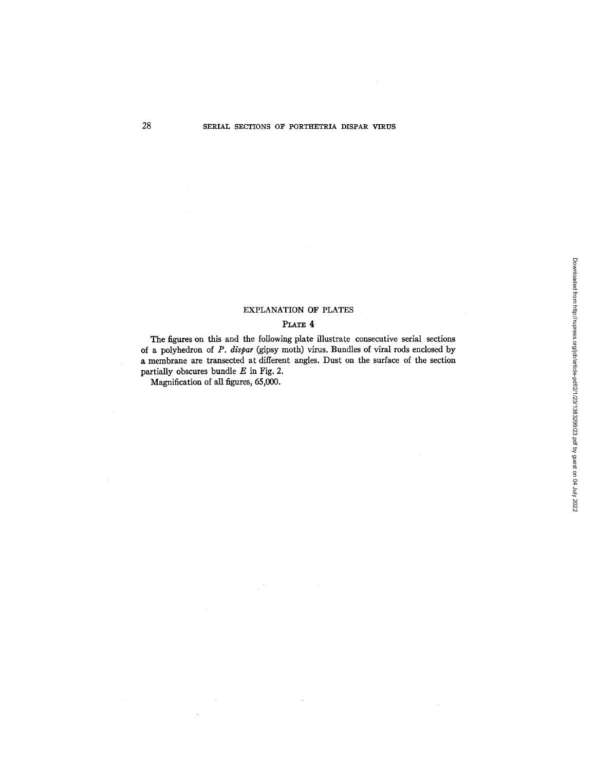## EXPLANATION OF PLATES

### PLATE 4

The figures on this and the following plate illustrate consecutive serial sections of a polyhedron of *P. dispar* (gipsy moth) virus. Bundles of viral rods enclosed by a membrane are transected at different angles. Dust on the surface of the section partially obscures bundle  $E$  in Fig. 2.

Magnification of all figures, 65,000.

 $\bar{z}$ 

 $\bar{\mathcal{A}}$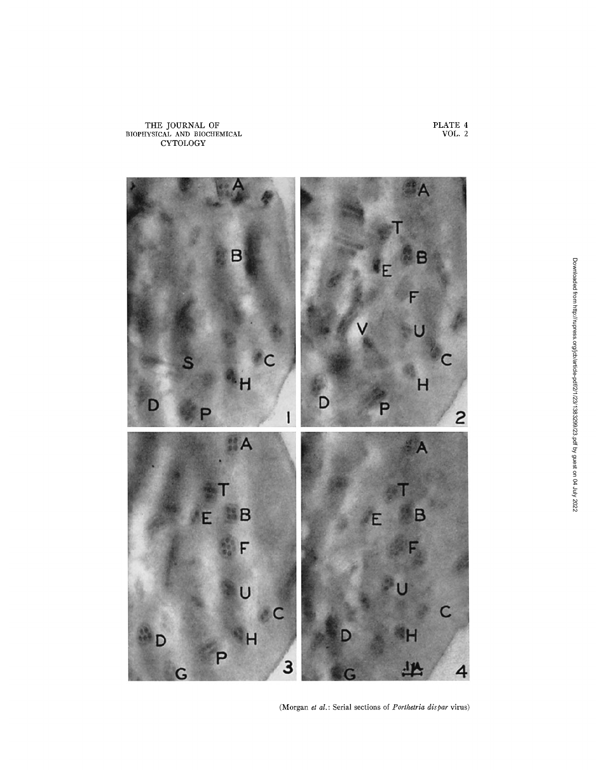

(Morgan *et al.* : Serial sections of *Porthetria dispar* virus)

PLATE 4 VOL. 2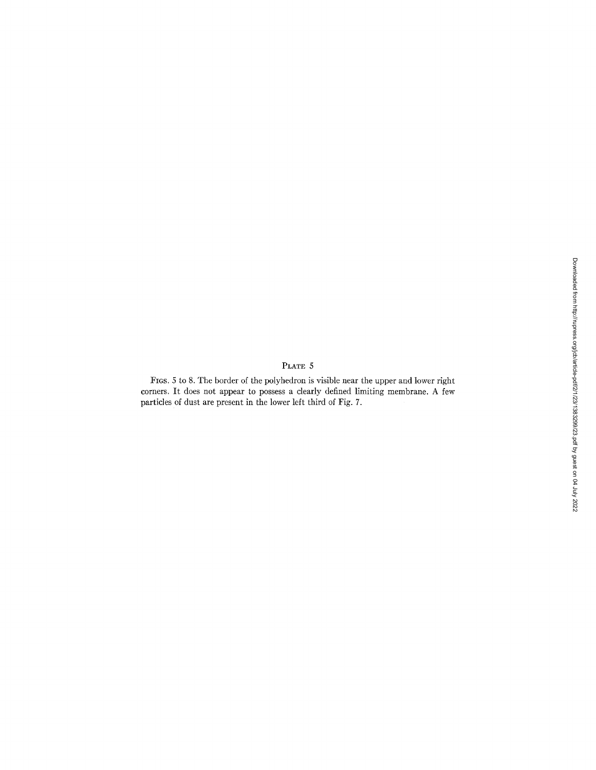### PLATE 5

FIGS. 5 to 8. The border of the polyhedron is visible near the upper and lower right corners. It does not appear to possess a clearly defined limiting membrane. A few particles of dust are present in the lower left third of Fig. 7.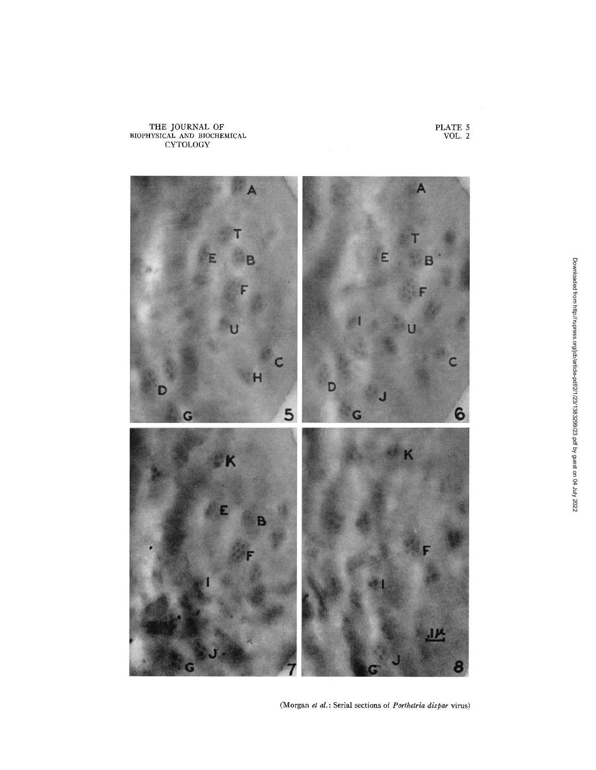



(Morgan et al.: Serial sections of *Porthetria dispar* virus)

PLATE 5 VOL. 2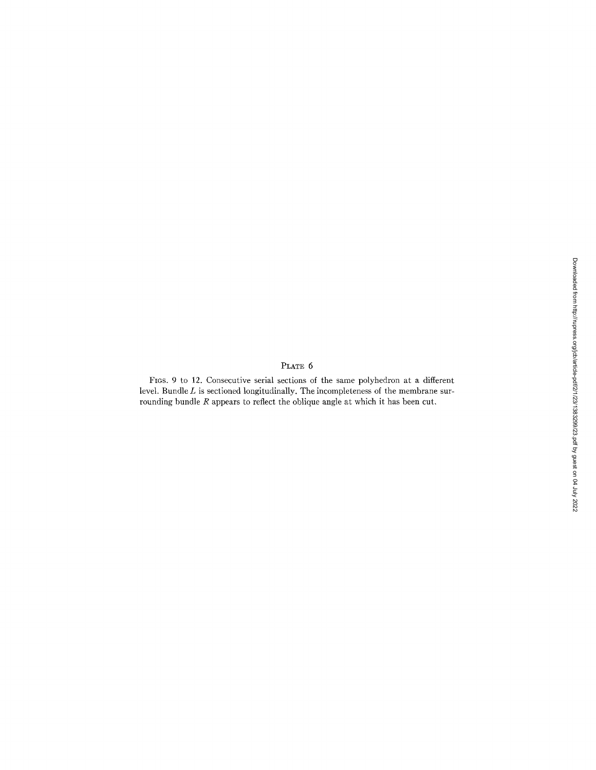# PLATE  $6$

FIOS. 9 to 12. Consecutive serial sections of the same polyhedron at a different level. Bundle L is sectioned longitudinally. The incompleteness of the membrane surrounding bundle R appears to reflect the oblique angle at which it has been cut.